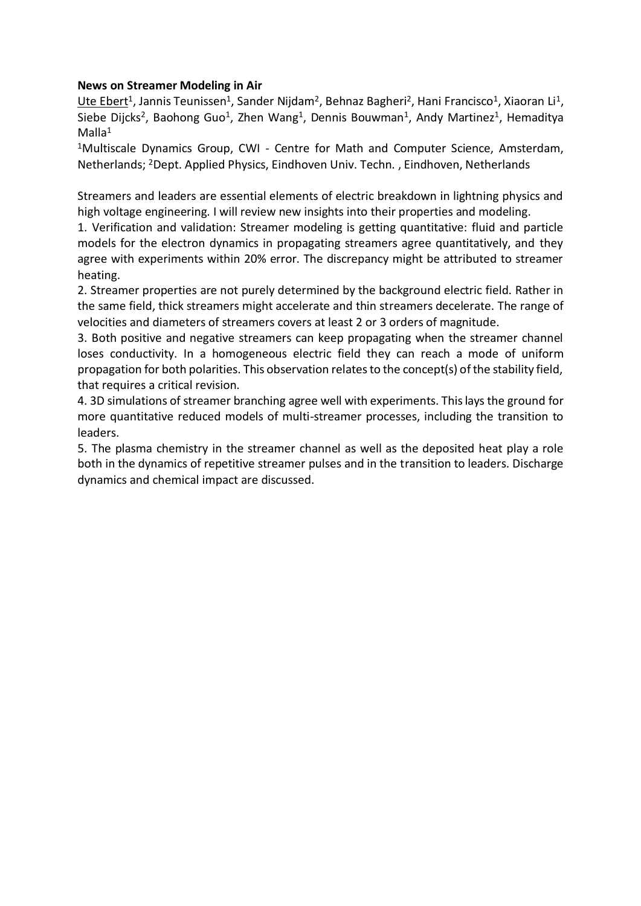### **News on Streamer Modeling in Air**

Ute Ebert<sup>1</sup>, Jannis Teunissen<sup>1</sup>, Sander Nijdam<sup>2</sup>, Behnaz Bagheri<sup>2</sup>, Hani Francisco<sup>1</sup>, Xiaoran Li<sup>1</sup>, Siebe Dijcks<sup>2</sup>, Baohong Guo<sup>1</sup>, Zhen Wang<sup>1</sup>, Dennis Bouwman<sup>1</sup>, Andy Martinez<sup>1</sup>, Hemaditya  $M$ alla<sup>1</sup>

<sup>1</sup>Multiscale Dynamics Group, CWI - Centre for Math and Computer Science, Amsterdam, Netherlands; <sup>2</sup>Dept. Applied Physics, Eindhoven Univ. Techn. , Eindhoven, Netherlands

Streamers and leaders are essential elements of electric breakdown in lightning physics and high voltage engineering. I will review new insights into their properties and modeling.

1. Verification and validation: Streamer modeling is getting quantitative: fluid and particle models for the electron dynamics in propagating streamers agree quantitatively, and they agree with experiments within 20% error. The discrepancy might be attributed to streamer heating.

2. Streamer properties are not purely determined by the background electric field. Rather in the same field, thick streamers might accelerate and thin streamers decelerate. The range of velocities and diameters of streamers covers at least 2 or 3 orders of magnitude.

3. Both positive and negative streamers can keep propagating when the streamer channel loses conductivity. In a homogeneous electric field they can reach a mode of uniform propagation for both polarities. This observation relates to the concept(s) of the stability field, that requires a critical revision.

4. 3D simulations of streamer branching agree well with experiments. This lays the ground for more quantitative reduced models of multi-streamer processes, including the transition to leaders.

5. The plasma chemistry in the streamer channel as well as the deposited heat play a role both in the dynamics of repetitive streamer pulses and in the transition to leaders. Discharge dynamics and chemical impact are discussed.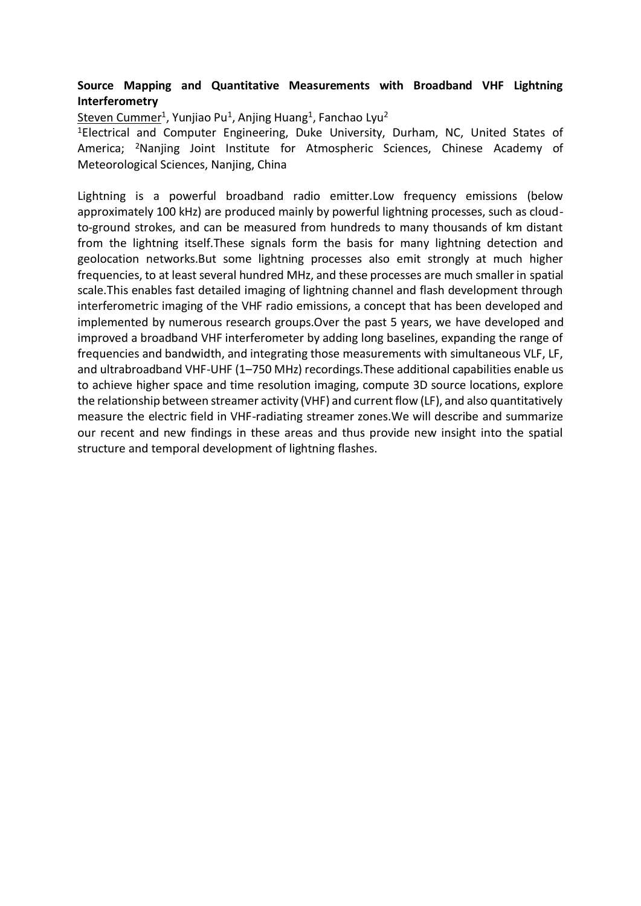## **Source Mapping and Quantitative Measurements with Broadband VHF Lightning Interferometry**

<u>Steven Cummer</u><sup>1</sup>, Yunjiao Pu<sup>1</sup>, Anjing Huang<sup>1</sup>, Fanchao Lyu<sup>2</sup>

<sup>1</sup>Electrical and Computer Engineering, Duke University, Durham, NC, United States of America; <sup>2</sup>Nanjing Joint Institute for Atmospheric Sciences, Chinese Academy of Meteorological Sciences, Nanjing, China

Lightning is a powerful broadband radio emitter.Low frequency emissions (below approximately 100 kHz) are produced mainly by powerful lightning processes, such as cloudto-ground strokes, and can be measured from hundreds to many thousands of km distant from the lightning itself.These signals form the basis for many lightning detection and geolocation networks.But some lightning processes also emit strongly at much higher frequencies, to at least several hundred MHz, and these processes are much smaller in spatial scale.This enables fast detailed imaging of lightning channel and flash development through interferometric imaging of the VHF radio emissions, a concept that has been developed and implemented by numerous research groups.Over the past 5 years, we have developed and improved a broadband VHF interferometer by adding long baselines, expanding the range of frequencies and bandwidth, and integrating those measurements with simultaneous VLF, LF, and ultrabroadband VHF-UHF (1–750 MHz) recordings.These additional capabilities enable us to achieve higher space and time resolution imaging, compute 3D source locations, explore the relationship between streamer activity (VHF) and current flow (LF), and also quantitatively measure the electric field in VHF-radiating streamer zones.We will describe and summarize our recent and new findings in these areas and thus provide new insight into the spatial structure and temporal development of lightning flashes.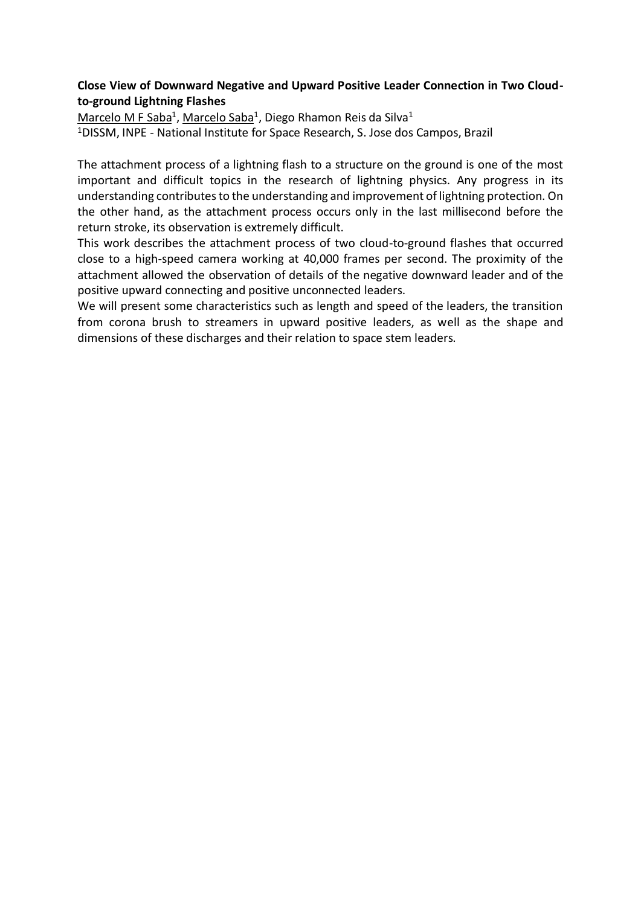### **Close View of Downward Negative and Upward Positive Leader Connection in Two Cloudto-ground Lightning Flashes**

Marcelo M F Saba<sup>1</sup>, Marcelo Saba<sup>1</sup>, Diego Rhamon Reis da Silva<sup>1</sup> <sup>1</sup>DISSM, INPE - National Institute for Space Research, S. Jose dos Campos, Brazil

The attachment process of a lightning flash to a structure on the ground is one of the most important and difficult topics in the research of lightning physics. Any progress in its understanding contributes to the understanding and improvement of lightning protection. On the other hand, as the attachment process occurs only in the last millisecond before the return stroke, its observation is extremely difficult.

This work describes the attachment process of two cloud-to-ground flashes that occurred close to a high-speed camera working at 40,000 frames per second. The proximity of the attachment allowed the observation of details of the negative downward leader and of the positive upward connecting and positive unconnected leaders.

We will present some characteristics such as length and speed of the leaders, the transition from corona brush to streamers in upward positive leaders, as well as the shape and dimensions of these discharges and their relation to space stem leaders.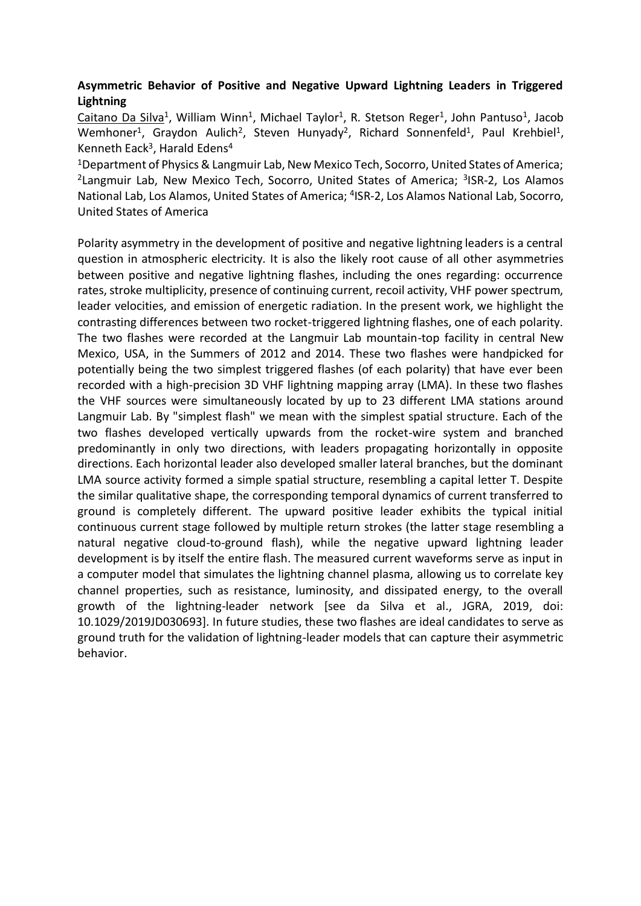# **Asymmetric Behavior of Positive and Negative Upward Lightning Leaders in Triggered Lightning**

Caitano Da Silva<sup>1</sup>, William Winn<sup>1</sup>, Michael Taylor<sup>1</sup>, R. Stetson Reger<sup>1</sup>, John Pantuso<sup>1</sup>, Jacob Wemhoner<sup>1</sup>, Graydon Aulich<sup>2</sup>, Steven Hunyady<sup>2</sup>, Richard Sonnenfeld<sup>1</sup>, Paul Krehbiel<sup>1</sup>, Kenneth Eack<sup>3</sup>, Harald Edens<sup>4</sup>

<sup>1</sup>Department of Physics & Langmuir Lab, New Mexico Tech, Socorro, United States of America; <sup>2</sup>Langmuir Lab, New Mexico Tech, Socorro, United States of America; <sup>3</sup>ISR-2, Los Alamos National Lab, Los Alamos, United States of America; <sup>4</sup>ISR-2, Los Alamos National Lab, Socorro, United States of America

Polarity asymmetry in the development of positive and negative lightning leaders is a central question in atmospheric electricity. It is also the likely root cause of all other asymmetries between positive and negative lightning flashes, including the ones regarding: occurrence rates, stroke multiplicity, presence of continuing current, recoil activity, VHF power spectrum, leader velocities, and emission of energetic radiation. In the present work, we highlight the contrasting differences between two rocket-triggered lightning flashes, one of each polarity. The two flashes were recorded at the Langmuir Lab mountain-top facility in central New Mexico, USA, in the Summers of 2012 and 2014. These two flashes were handpicked for potentially being the two simplest triggered flashes (of each polarity) that have ever been recorded with a high-precision 3D VHF lightning mapping array (LMA). In these two flashes the VHF sources were simultaneously located by up to 23 different LMA stations around Langmuir Lab. By "simplest flash" we mean with the simplest spatial structure. Each of the two flashes developed vertically upwards from the rocket-wire system and branched predominantly in only two directions, with leaders propagating horizontally in opposite directions. Each horizontal leader also developed smaller lateral branches, but the dominant LMA source activity formed a simple spatial structure, resembling a capital letter T. Despite the similar qualitative shape, the corresponding temporal dynamics of current transferred to ground is completely different. The upward positive leader exhibits the typical initial continuous current stage followed by multiple return strokes (the latter stage resembling a natural negative cloud-to-ground flash), while the negative upward lightning leader development is by itself the entire flash. The measured current waveforms serve as input in a computer model that simulates the lightning channel plasma, allowing us to correlate key channel properties, such as resistance, luminosity, and dissipated energy, to the overall growth of the lightning-leader network [see da Silva et al., JGRA, 2019, doi: 10.1029/2019JD030693]. In future studies, these two flashes are ideal candidates to serve as ground truth for the validation of lightning-leader models that can capture their asymmetric behavior.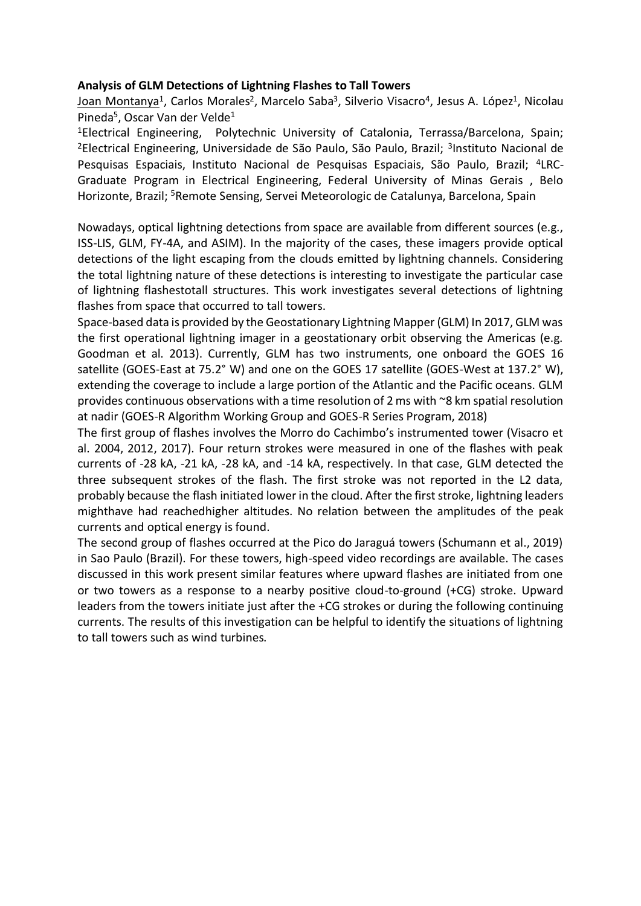### **Analysis of GLM Detections of Lightning Flashes to Tall Towers**

<u>Joan Montanya</u><sup>1</sup>, Carlos Morales<sup>2</sup>, Marcelo Saba<sup>3</sup>, Silverio Visacro<sup>4</sup>, Jesus A. López<sup>1</sup>, Nicolau Pineda<sup>5</sup>, Oscar Van der Velde<sup>1</sup>

<sup>1</sup>Electrical Engineering, Polytechnic University of Catalonia, Terrassa/Barcelona, Spain; <sup>2</sup>Electrical Engineering, Universidade de São Paulo, São Paulo, Brazil; <sup>3</sup>Instituto Nacional de Pesquisas Espaciais, Instituto Nacional de Pesquisas Espaciais, São Paulo, Brazil; <sup>4</sup>LRC-Graduate Program in Electrical Engineering, Federal University of Minas Gerais , Belo Horizonte, Brazil; <sup>5</sup>Remote Sensing, Servei Meteorologic de Catalunya, Barcelona, Spain

Nowadays, optical lightning detections from space are available from different sources (e.g., ISS-LIS, GLM, FY-4A, and ASIM). In the majority of the cases, these imagers provide optical detections of the light escaping from the clouds emitted by lightning channels. Considering the total lightning nature of these detections is interesting to investigate the particular case of lightning flashestotall structures. This work investigates several detections of lightning flashes from space that occurred to tall towers.

Space-based data is provided by the Geostationary Lightning Mapper (GLM) In 2017, GLM was the first operational lightning imager in a geostationary orbit observing the Americas (e.g. Goodman et al. 2013). Currently, GLM has two instruments, one onboard the GOES 16 satellite (GOES-East at 75.2° W) and one on the GOES 17 satellite (GOES-West at 137.2° W), extending the coverage to include a large portion of the Atlantic and the Pacific oceans. GLM provides continuous observations with a time resolution of 2 ms with ~8 km spatial resolution at nadir (GOES-R Algorithm Working Group and GOES-R Series Program, 2018)

The first group of flashes involves the Morro do Cachimbo's instrumented tower (Visacro et al. 2004, 2012, 2017). Four return strokes were measured in one of the flashes with peak currents of -28 kA, -21 kA, -28 kA, and -14 kA, respectively. In that case, GLM detected the three subsequent strokes of the flash. The first stroke was not reported in the L2 data, probably because the flash initiated lower in the cloud. After the first stroke, lightning leaders mighthave had reachedhigher altitudes. No relation between the amplitudes of the peak currents and optical energy is found.

The second group of flashes occurred at the Pico do Jaraguá towers (Schumann et al., 2019) in Sao Paulo (Brazil). For these towers, high-speed video recordings are available. The cases discussed in this work present similar features where upward flashes are initiated from one or two towers as a response to a nearby positive cloud-to-ground (+CG) stroke. Upward leaders from the towers initiate just after the +CG strokes or during the following continuing currents. The results of this investigation can be helpful to identify the situations of lightning to tall towers such as wind turbines.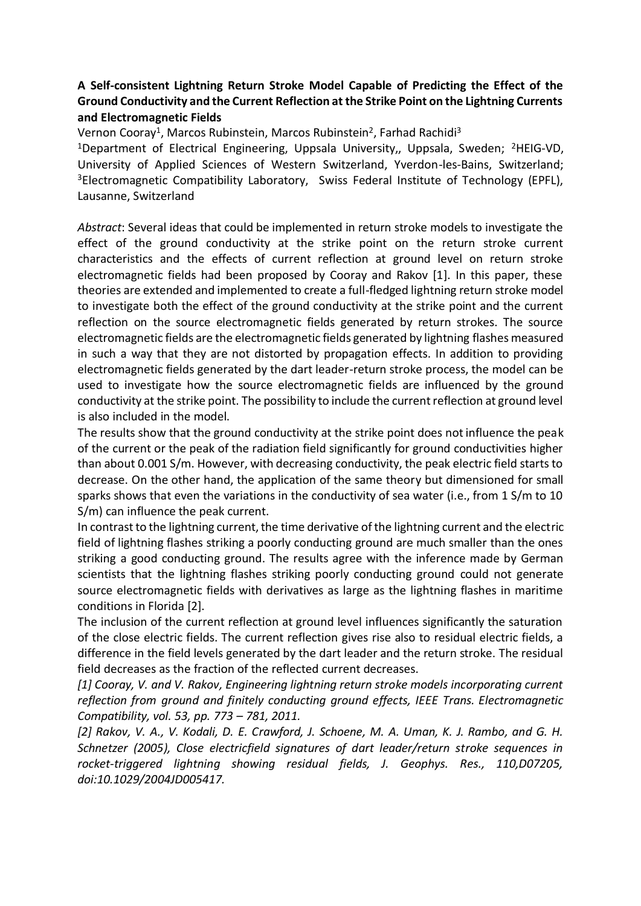# **A Self-consistent Lightning Return Stroke Model Capable of Predicting the Effect of the Ground Conductivity and the Current Reflection at the Strike Point on the Lightning Currents and Electromagnetic Fields**

Vernon Cooray<sup>1</sup>, Marcos Rubinstein, Marcos Rubinstein<sup>2</sup>, Farhad Rachidi<sup>3</sup>

<sup>1</sup>Department of Electrical Engineering, Uppsala University,, Uppsala, Sweden; <sup>2</sup>HEIG-VD, University of Applied Sciences of Western Switzerland, Yverdon-les-Bains, Switzerland; <sup>3</sup>Electromagnetic Compatibility Laboratory, Swiss Federal Institute of Technology (EPFL), Lausanne, Switzerland

*Abstract*: Several ideas that could be implemented in return stroke models to investigate the effect of the ground conductivity at the strike point on the return stroke current characteristics and the effects of current reflection at ground level on return stroke electromagnetic fields had been proposed by Cooray and Rakov [1]. In this paper, these theories are extended and implemented to create a full-fledged lightning return stroke model to investigate both the effect of the ground conductivity at the strike point and the current reflection on the source electromagnetic fields generated by return strokes. The source electromagnetic fields are the electromagnetic fields generated by lightning flashes measured in such a way that they are not distorted by propagation effects. In addition to providing electromagnetic fields generated by the dart leader-return stroke process, the model can be used to investigate how the source electromagnetic fields are influenced by the ground conductivity at the strike point. The possibility to include the current reflection at ground level is also included in the model.

The results show that the ground conductivity at the strike point does not influence the peak of the current or the peak of the radiation field significantly for ground conductivities higher than about 0.001 S/m. However, with decreasing conductivity, the peak electric field starts to decrease. On the other hand, the application of the same theory but dimensioned for small sparks shows that even the variations in the conductivity of sea water (i.e., from 1 S/m to 10 S/m) can influence the peak current.

In contrast to the lightning current, the time derivative of the lightning current and the electric field of lightning flashes striking a poorly conducting ground are much smaller than the ones striking a good conducting ground. The results agree with the inference made by German scientists that the lightning flashes striking poorly conducting ground could not generate source electromagnetic fields with derivatives as large as the lightning flashes in maritime conditions in Florida [2].

The inclusion of the current reflection at ground level influences significantly the saturation of the close electric fields. The current reflection gives rise also to residual electric fields, a difference in the field levels generated by the dart leader and the return stroke. The residual field decreases as the fraction of the reflected current decreases.

*[1] Cooray, V. and V. Rakov, Engineering lightning return stroke models incorporating current reflection from ground and finitely conducting ground effects, IEEE Trans. Electromagnetic Compatibility, vol. 53, pp. 773 – 781, 2011.* 

*[2] Rakov, V. A., V. Kodali, D. E. Crawford, J. Schoene, M. A. Uman, K. J. Rambo, and G. H. Schnetzer (2005), Close electricfield signatures of dart leader/return stroke sequences in rocket-triggered lightning showing residual fields, J. Geophys. Res., 110,D07205, doi:10.1029/2004JD005417.*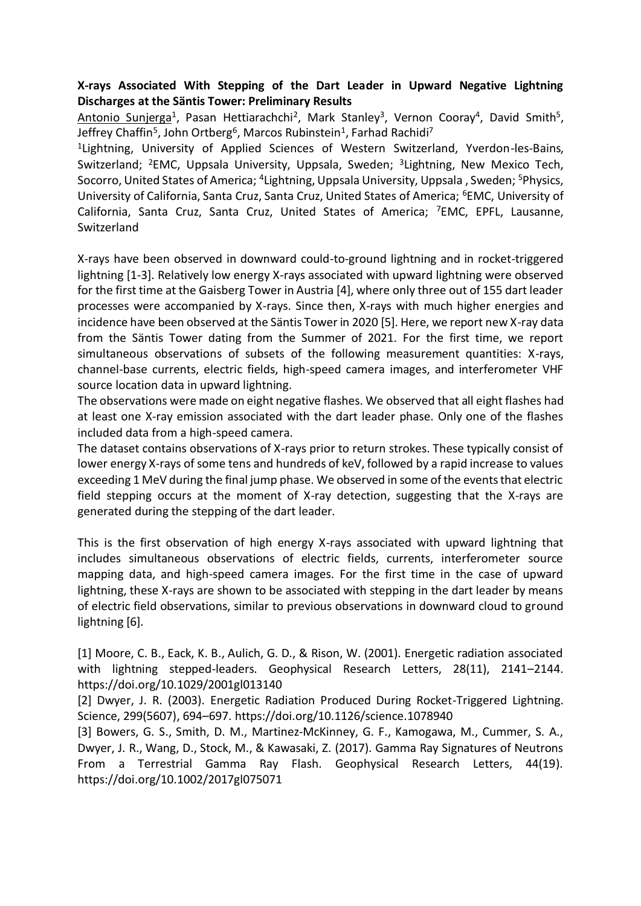# **X-rays Associated With Stepping of the Dart Leader in Upward Negative Lightning Discharges at the Säntis Tower: Preliminary Results**

Antonio Sunjerga<sup>1</sup>, Pasan Hettiarachchi<sup>2</sup>, Mark Stanley<sup>3</sup>, Vernon Cooray<sup>4</sup>, David Smith<sup>5</sup>, Jeffrey Chaffin<sup>5</sup>, John Ortberg<sup>6</sup>, Marcos Rubinstein<sup>1</sup>, Farhad Rachidi<sup>7</sup>

<sup>1</sup>Lightning, University of Applied Sciences of Western Switzerland, Yverdon-les-Bains, Switzerland; <sup>2</sup>EMC, Uppsala University, Uppsala, Sweden; <sup>3</sup>Lightning, New Mexico Tech, Socorro, United States of America; <sup>4</sup>Lightning, Uppsala University, Uppsala , Sweden; <sup>5</sup>Physics, University of California, Santa Cruz, Santa Cruz, United States of America; <sup>6</sup>EMC, University of California, Santa Cruz, Santa Cruz, United States of America; <sup>7</sup>EMC, EPFL, Lausanne, Switzerland

X-rays have been observed in downward could-to-ground lightning and in rocket-triggered lightning [1-3]. Relatively low energy X-rays associated with upward lightning were observed for the first time at the Gaisberg Tower in Austria [4], where only three out of 155 dart leader processes were accompanied by X-rays. Since then, X-rays with much higher energies and incidence have been observed at the Säntis Tower in 2020 [5]. Here, we report new X-ray data from the Säntis Tower dating from the Summer of 2021. For the first time, we report simultaneous observations of subsets of the following measurement quantities: X-rays, channel-base currents, electric fields, high-speed camera images, and interferometer VHF source location data in upward lightning.

The observations were made on eight negative flashes. We observed that all eight flashes had at least one X-ray emission associated with the dart leader phase. Only one of the flashes included data from a high-speed camera.

The dataset contains observations of X-rays prior to return strokes. These typically consist of lower energy X-rays of some tens and hundreds of keV, followed by a rapid increase to values exceeding 1 MeV during the final jump phase. We observed in some of the events that electric field stepping occurs at the moment of X-ray detection, suggesting that the X-rays are generated during the stepping of the dart leader.

This is the first observation of high energy X-rays associated with upward lightning that includes simultaneous observations of electric fields, currents, interferometer source mapping data, and high-speed camera images. For the first time in the case of upward lightning, these X-rays are shown to be associated with stepping in the dart leader by means of electric field observations, similar to previous observations in downward cloud to ground lightning [6].

[1] Moore, C. B., Eack, K. B., Aulich, G. D., & Rison, W. (2001). Energetic radiation associated with lightning stepped-leaders. Geophysical Research Letters, 28(11), 2141–2144. https://doi.org/10.1029/2001gl013140

[2] Dwyer, J. R. (2003). Energetic Radiation Produced During Rocket-Triggered Lightning. Science, 299(5607), 694–697. https://doi.org/10.1126/science.1078940

[3] Bowers, G. S., Smith, D. M., Martinez-McKinney, G. F., Kamogawa, M., Cummer, S. A., Dwyer, J. R., Wang, D., Stock, M., & Kawasaki, Z. (2017). Gamma Ray Signatures of Neutrons From a Terrestrial Gamma Ray Flash. Geophysical Research Letters, 44(19). https://doi.org/10.1002/2017gl075071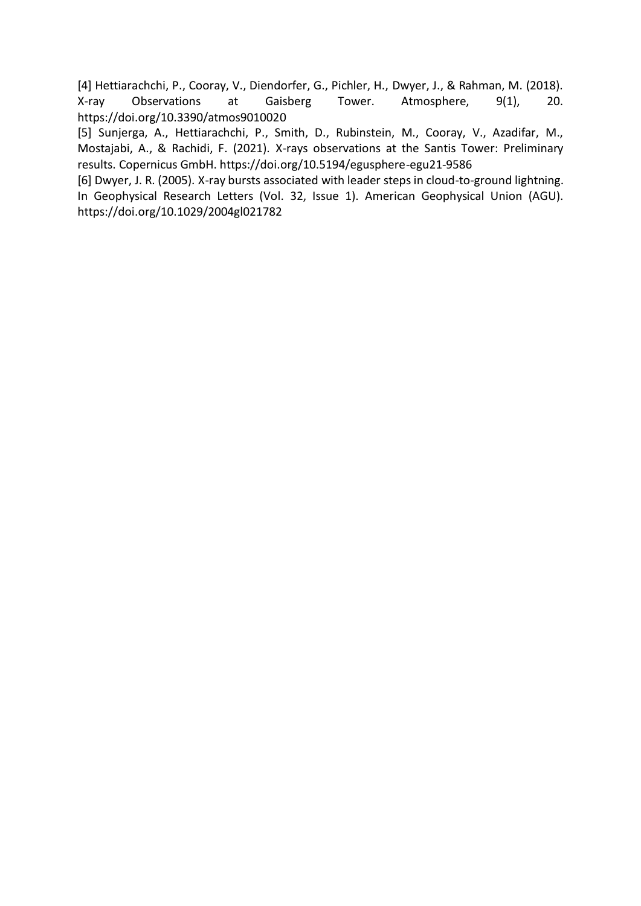[4] Hettiarachchi, P., Cooray, V., Diendorfer, G., Pichler, H., Dwyer, J., & Rahman, M. (2018). X-ray Observations at Gaisberg Tower. Atmosphere, 9(1), 20. https://doi.org/10.3390/atmos9010020

[5] Sunjerga, A., Hettiarachchi, P., Smith, D., Rubinstein, M., Cooray, V., Azadifar, M., Mostajabi, A., & Rachidi, F. (2021). X-rays observations at the Santis Tower: Preliminary results. Copernicus GmbH. https://doi.org/10.5194/egusphere-egu21-9586

[6] Dwyer, J. R. (2005). X-ray bursts associated with leader steps in cloud-to-ground lightning. In Geophysical Research Letters (Vol. 32, Issue 1). American Geophysical Union (AGU). https://doi.org/10.1029/2004gl021782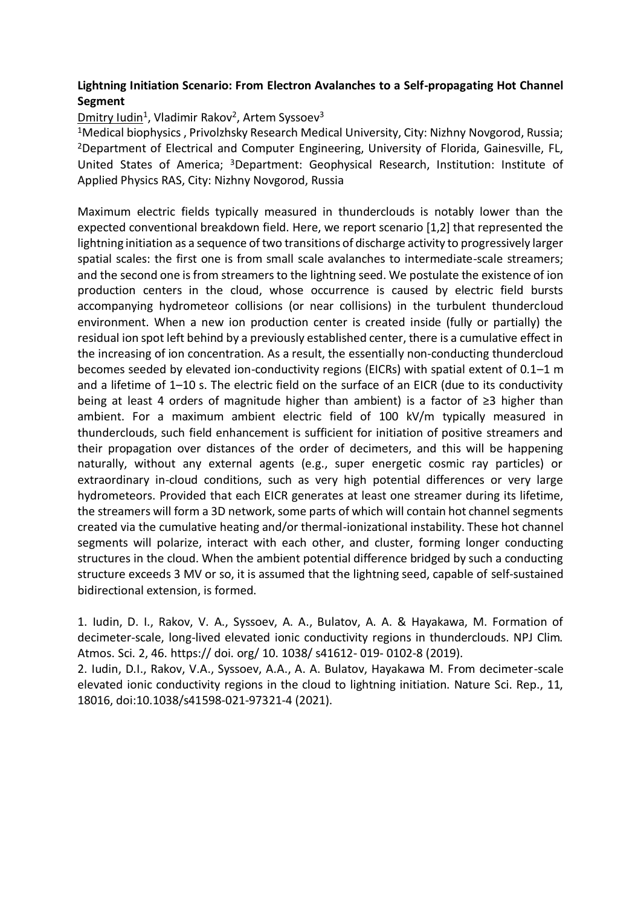# **Lightning Initiation Scenario: From Electron Avalanches to a Self-propagating Hot Channel Segment**

# Dmitry Iudin<sup>1</sup>, Vladimir Rakov<sup>2</sup>, Artem Syssoev<sup>3</sup>

<sup>1</sup>Medical biophysics, Privolzhsky Research Medical University, City: Nizhny Novgorod, Russia; <sup>2</sup>Department of Electrical and Computer Engineering, University of Florida, Gainesville, FL, United States of America; <sup>3</sup>Department: Geophysical Research, Institution: Institute of Applied Physics RAS, City: Nizhny Novgorod, Russia

Maximum electric fields typically measured in thunderclouds is notably lower than the expected conventional breakdown field. Here, we report scenario [1,2] that represented the lightning initiation as a sequence of two transitions of discharge activity to progressively larger spatial scales: the first one is from small scale avalanches to intermediate-scale streamers; and the second one is from streamers to the lightning seed. We postulate the existence of ion production centers in the cloud, whose occurrence is caused by electric field bursts accompanying hydrometeor collisions (or near collisions) in the turbulent thundercloud environment. When a new ion production center is created inside (fully or partially) the residual ion spot left behind by a previously established center, there is a cumulative effect in the increasing of ion concentration. As a result, the essentially non-conducting thundercloud becomes seeded by elevated ion-conductivity regions (EICRs) with spatial extent of 0.1–1 m and a lifetime of 1–10 s. The electric field on the surface of an EICR (due to its conductivity being at least 4 orders of magnitude higher than ambient) is a factor of ≥3 higher than ambient. For a maximum ambient electric field of 100 kV/m typically measured in thunderclouds, such field enhancement is sufficient for initiation of positive streamers and their propagation over distances of the order of decimeters, and this will be happening naturally, without any external agents (e.g., super energetic cosmic ray particles) or extraordinary in-cloud conditions, such as very high potential differences or very large hydrometeors. Provided that each EICR generates at least one streamer during its lifetime, the streamers will form a 3D network, some parts of which will contain hot channel segments created via the cumulative heating and/or thermal-ionizational instability. These hot channel segments will polarize, interact with each other, and cluster, forming longer conducting structures in the cloud. When the ambient potential difference bridged by such a conducting structure exceeds 3 MV or so, it is assumed that the lightning seed, capable of self-sustained bidirectional extension, is formed.

1. Iudin, D. I., Rakov, V. A., Syssoev, A. A., Bulatov, A. A. & Hayakawa, M. Formation of decimeter-scale, long-lived elevated ionic conductivity regions in thunderclouds. NPJ Clim. Atmos. Sci. 2, 46. https:// doi. org/ 10. 1038/ s41612- 019- 0102-8 (2019).

2. Iudin, D.I., Rakov, V.A., Syssoev, A.A., A. A. Bulatov, Hayakawa M. From decimeter-scale elevated ionic conductivity regions in the cloud to lightning initiation. Nature Sci. Rep., 11, 18016, doi:10.1038/s41598-021-97321-4 (2021).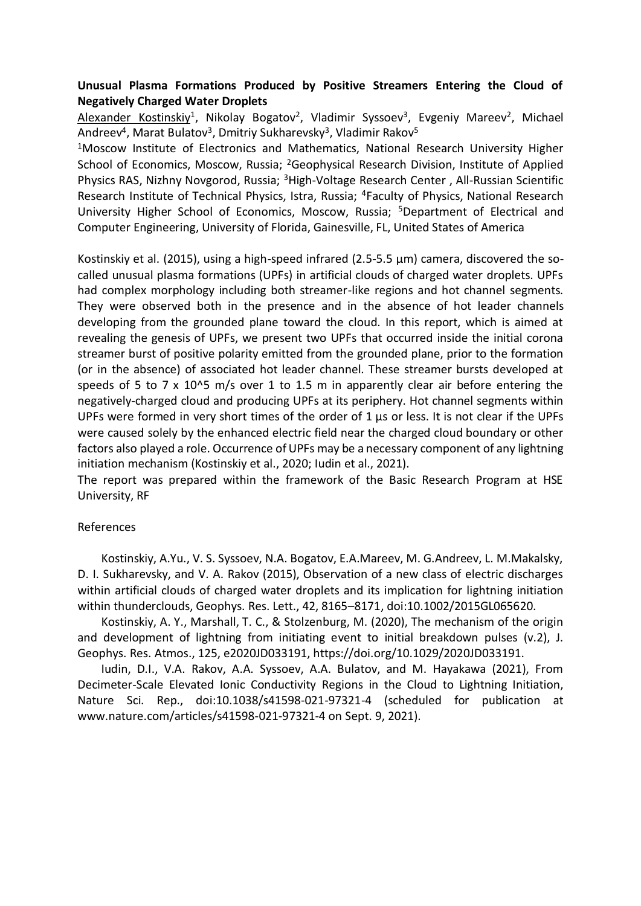### **Unusual Plasma Formations Produced by Positive Streamers Entering the Cloud of Negatively Charged Water Droplets**

Alexander Kostinskiy<sup>1</sup>, Nikolay Bogatov<sup>2</sup>, Vladimir Syssoev<sup>3</sup>, Evgeniy Mareev<sup>2</sup>, Michael Andreev<sup>4</sup>, Marat Bulatov<sup>3</sup>, Dmitriy Sukharevsky<sup>3</sup>, Vladimir Rakov<sup>5</sup>

<sup>1</sup>Moscow Institute of Electronics and Mathematics, National Research University Higher School of Economics, Moscow, Russia; <sup>2</sup>Geophysical Research Division, Institute of Applied Physics RAS, Nizhny Novgorod, Russia; <sup>3</sup>High-Voltage Research Center , All-Russian Scientific Research Institute of Technical Physics, Istra, Russia; <sup>4</sup>Faculty of Physics, National Research University Higher School of Economics, Moscow, Russia; <sup>5</sup>Department of Electrical and Computer Engineering, University of Florida, Gainesville, FL, United States of America

Kostinskiy et al. (2015), using a high-speed infrared (2.5-5.5 μm) camera, discovered the socalled unusual plasma formations (UPFs) in artificial clouds of charged water droplets. UPFs had complex morphology including both streamer-like regions and hot channel segments. They were observed both in the presence and in the absence of hot leader channels developing from the grounded plane toward the cloud. In this report, which is aimed at revealing the genesis of UPFs, we present two UPFs that occurred inside the initial corona streamer burst of positive polarity emitted from the grounded plane, prior to the formation (or in the absence) of associated hot leader channel. These streamer bursts developed at speeds of 5 to 7 x 10^5 m/s over 1 to 1.5 m in apparently clear air before entering the negatively-charged cloud and producing UPFs at its periphery. Hot channel segments within UPFs were formed in very short times of the order of 1 μs or less. It is not clear if the UPFs were caused solely by the enhanced electric field near the charged cloud boundary or other factors also played a role. Occurrence of UPFs may be a necessary component of any lightning initiation mechanism (Kostinskiy et al., 2020; Iudin et al., 2021).

The report was prepared within the framework of the Basic Research Program at HSE University, RF

#### References

 Kostinskiy, A.Yu., V. S. Syssoev, N.A. Bogatov, E.A.Mareev, M. G.Andreev, L. M.Makalsky, D. I. Sukharevsky, and V. A. Rakov (2015), Observation of a new class of electric discharges within artificial clouds of charged water droplets and its implication for lightning initiation within thunderclouds, Geophys. Res. Lett., 42, 8165–8171, doi:10.1002/2015GL065620.

 Kostinskiy, A. Y., Marshall, T. C., & Stolzenburg, M. (2020), The mechanism of the origin and development of lightning from initiating event to initial breakdown pulses (v.2), J. Geophys. Res. Atmos., 125, e2020JD033191, https://doi.org/10.1029/2020JD033191.

 Iudin, D.I., V.A. Rakov, A.A. Syssoev, A.A. Bulatov, and M. Hayakawa (2021), From Decimeter-Scale Elevated Ionic Conductivity Regions in the Cloud to Lightning Initiation, Nature Sci. Rep., doi:10.1038/s41598-021-97321-4 (scheduled for publication at www.nature.com/articles/s41598-021-97321-4 on Sept. 9, 2021).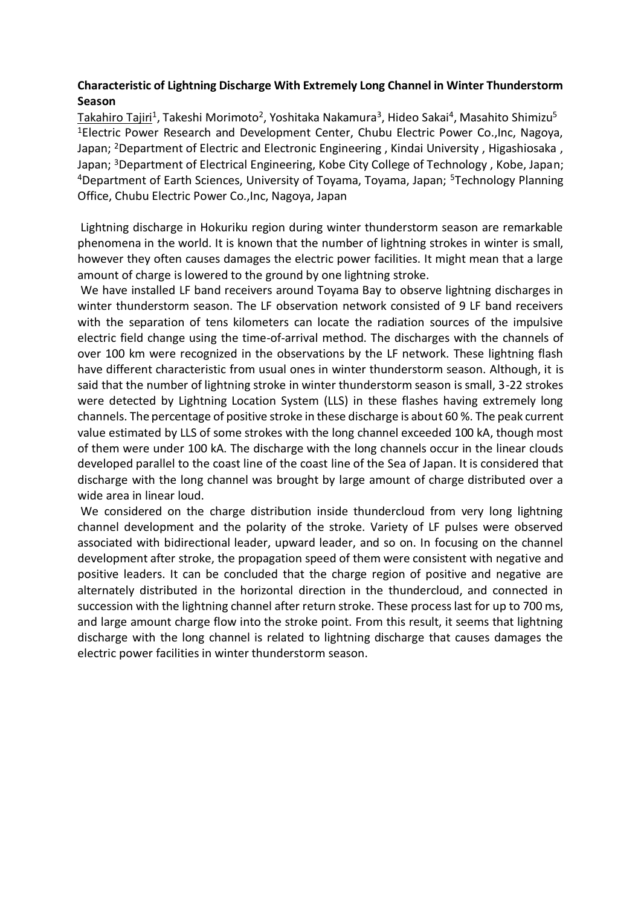# **Characteristic of Lightning Discharge With Extremely Long Channel in Winter Thunderstorm Season**

<u>Takahiro Tajiri</u><sup>1</sup>, Takeshi Morimoto<sup>2</sup>, Yoshitaka Nakamura<sup>3</sup>, Hideo Sakai<sup>4</sup>, Masahito Shimizu<sup>5</sup> <sup>1</sup>Electric Power Research and Development Center, Chubu Electric Power Co.,Inc, Nagoya, Japan; <sup>2</sup>Department of Electric and Electronic Engineering, Kindai University, Higashiosaka, Japan; <sup>3</sup>Department of Electrical Engineering, Kobe City College of Technology, Kobe, Japan; <sup>4</sup>Department of Earth Sciences, University of Toyama, Toyama, Japan; <sup>5</sup>Technology Planning Office, Chubu Electric Power Co.,Inc, Nagoya, Japan

Lightning discharge in Hokuriku region during winter thunderstorm season are remarkable phenomena in the world. It is known that the number of lightning strokes in winter is small, however they often causes damages the electric power facilities. It might mean that a large amount of charge is lowered to the ground by one lightning stroke.

We have installed LF band receivers around Toyama Bay to observe lightning discharges in winter thunderstorm season. The LF observation network consisted of 9 LF band receivers with the separation of tens kilometers can locate the radiation sources of the impulsive electric field change using the time-of-arrival method. The discharges with the channels of over 100 km were recognized in the observations by the LF network. These lightning flash have different characteristic from usual ones in winter thunderstorm season. Although, it is said that the number of lightning stroke in winter thunderstorm season is small, 3-22 strokes were detected by Lightning Location System (LLS) in these flashes having extremely long channels. The percentage of positive stroke in these discharge is about 60 %. The peak current value estimated by LLS of some strokes with the long channel exceeded 100 kA, though most of them were under 100 kA. The discharge with the long channels occur in the linear clouds developed parallel to the coast line of the coast line of the Sea of Japan. It is considered that discharge with the long channel was brought by large amount of charge distributed over a wide area in linear loud.

We considered on the charge distribution inside thundercloud from very long lightning channel development and the polarity of the stroke. Variety of LF pulses were observed associated with bidirectional leader, upward leader, and so on. In focusing on the channel development after stroke, the propagation speed of them were consistent with negative and positive leaders. It can be concluded that the charge region of positive and negative are alternately distributed in the horizontal direction in the thundercloud, and connected in succession with the lightning channel after return stroke. These process last for up to 700 ms, and large amount charge flow into the stroke point. From this result, it seems that lightning discharge with the long channel is related to lightning discharge that causes damages the electric power facilities in winter thunderstorm season.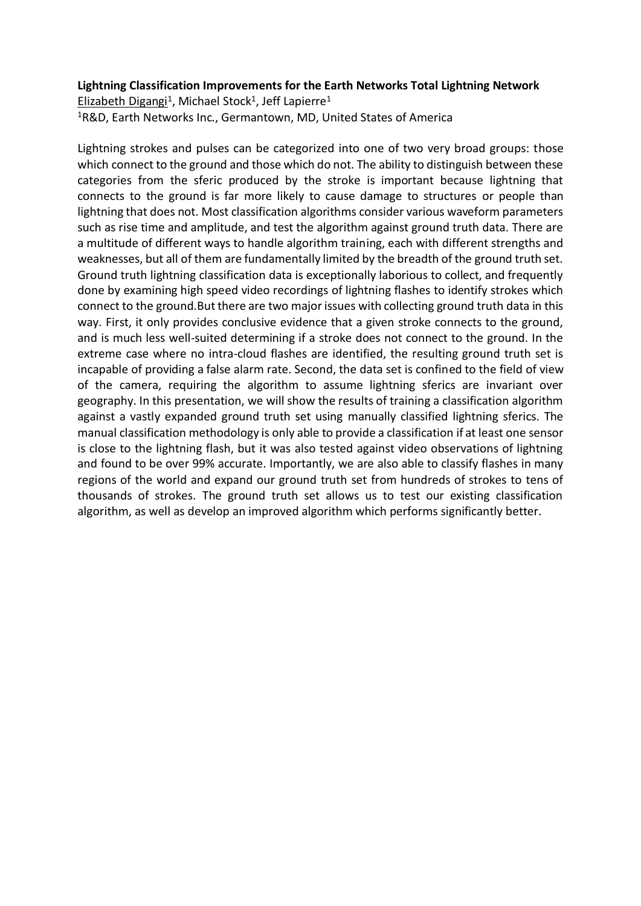#### **Lightning Classification Improvements for the Earth Networks Total Lightning Network**

Elizabeth Digangi<sup>1</sup>, Michael Stock<sup>1</sup>, Jeff Lapierre<sup>1</sup> <sup>1</sup>R&D, Earth Networks Inc., Germantown, MD, United States of America

Lightning strokes and pulses can be categorized into one of two very broad groups: those which connect to the ground and those which do not. The ability to distinguish between these categories from the sferic produced by the stroke is important because lightning that connects to the ground is far more likely to cause damage to structures or people than lightning that does not. Most classification algorithms consider various waveform parameters such as rise time and amplitude, and test the algorithm against ground truth data. There are a multitude of different ways to handle algorithm training, each with different strengths and weaknesses, but all of them are fundamentally limited by the breadth of the ground truth set. Ground truth lightning classification data is exceptionally laborious to collect, and frequently done by examining high speed video recordings of lightning flashes to identify strokes which connect to the ground.But there are two major issues with collecting ground truth data in this way. First, it only provides conclusive evidence that a given stroke connects to the ground, and is much less well-suited determining if a stroke does not connect to the ground. In the extreme case where no intra-cloud flashes are identified, the resulting ground truth set is incapable of providing a false alarm rate. Second, the data set is confined to the field of view of the camera, requiring the algorithm to assume lightning sferics are invariant over geography. In this presentation, we will show the results of training a classification algorithm against a vastly expanded ground truth set using manually classified lightning sferics. The manual classification methodology is only able to provide a classification if at least one sensor is close to the lightning flash, but it was also tested against video observations of lightning and found to be over 99% accurate. Importantly, we are also able to classify flashes in many regions of the world and expand our ground truth set from hundreds of strokes to tens of thousands of strokes. The ground truth set allows us to test our existing classification algorithm, as well as develop an improved algorithm which performs significantly better.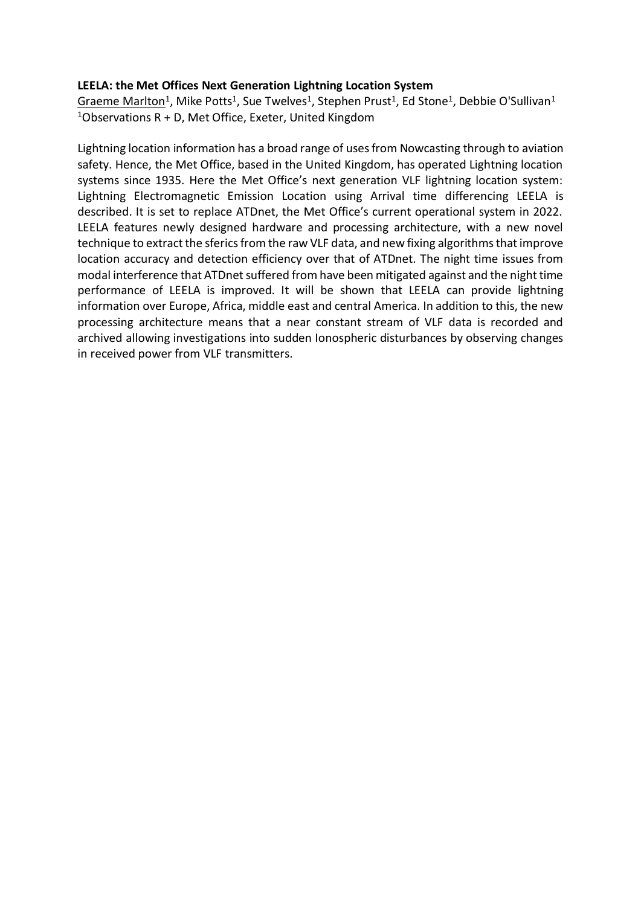#### **LEELA: the Met Offices Next Generation Lightning Location System**

Graeme Marlton<sup>1</sup>, Mike Potts<sup>1</sup>, Sue Twelves<sup>1</sup>, Stephen Prust<sup>1</sup>, Ed Stone<sup>1</sup>, Debbie O'Sullivan<sup>1</sup> <sup>1</sup>Observations R + D, Met Office, Exeter, United Kingdom

Lightning location information has a broad range of uses from Nowcasting through to aviation safety. Hence, the Met Office, based in the United Kingdom, has operated Lightning location systems since 1935. Here the Met Office's next generation VLF lightning location system: Lightning Electromagnetic Emission Location using Arrival time differencing LEELA is described. It is set to replace ATDnet, the Met Office's current operational system in 2022. LEELA features newly designed hardware and processing architecture, with a new novel technique to extract the sferics from the raw VLF data, and new fixing algorithms that improve location accuracy and detection efficiency over that of ATDnet. The night time issues from modal interference that ATDnet suffered from have been mitigated against and the night time performance of LEELA is improved. It will be shown that LEELA can provide lightning information over Europe, Africa, middle east and central America. In addition to this, the new processing architecture means that a near constant stream of VLF data is recorded and archived allowing investigations into sudden Ionospheric disturbances by observing changes in received power from VLF transmitters.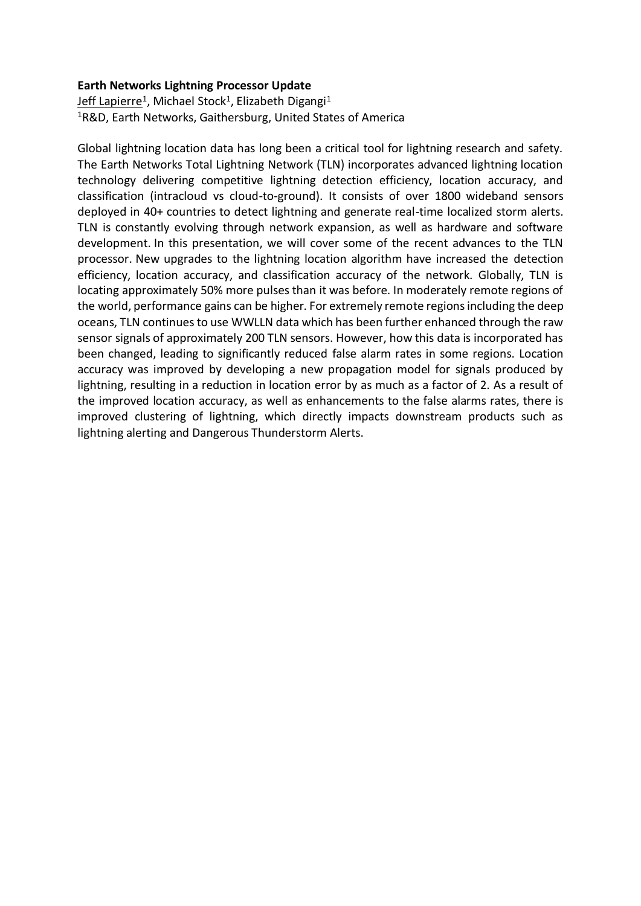### **Earth Networks Lightning Processor Update**

<u>Jeff Lapierre</u><sup>1</sup>, Michael Stock<sup>1</sup>, Elizabeth Digangi<sup>1</sup> <sup>1</sup>R&D, Earth Networks, Gaithersburg, United States of America

Global lightning location data has long been a critical tool for lightning research and safety. The Earth Networks Total Lightning Network (TLN) incorporates advanced lightning location technology delivering competitive lightning detection efficiency, location accuracy, and classification (intracloud vs cloud-to-ground). It consists of over 1800 wideband sensors deployed in 40+ countries to detect lightning and generate real-time localized storm alerts. TLN is constantly evolving through network expansion, as well as hardware and software development. In this presentation, we will cover some of the recent advances to the TLN processor. New upgrades to the lightning location algorithm have increased the detection efficiency, location accuracy, and classification accuracy of the network. Globally, TLN is locating approximately 50% more pulses than it was before. In moderately remote regions of the world, performance gains can be higher. For extremely remote regions including the deep oceans, TLN continues to use WWLLN data which has been further enhanced through the raw sensor signals of approximately 200 TLN sensors. However, how this data is incorporated has been changed, leading to significantly reduced false alarm rates in some regions. Location accuracy was improved by developing a new propagation model for signals produced by lightning, resulting in a reduction in location error by as much as a factor of 2. As a result of the improved location accuracy, as well as enhancements to the false alarms rates, there is improved clustering of lightning, which directly impacts downstream products such as lightning alerting and Dangerous Thunderstorm Alerts.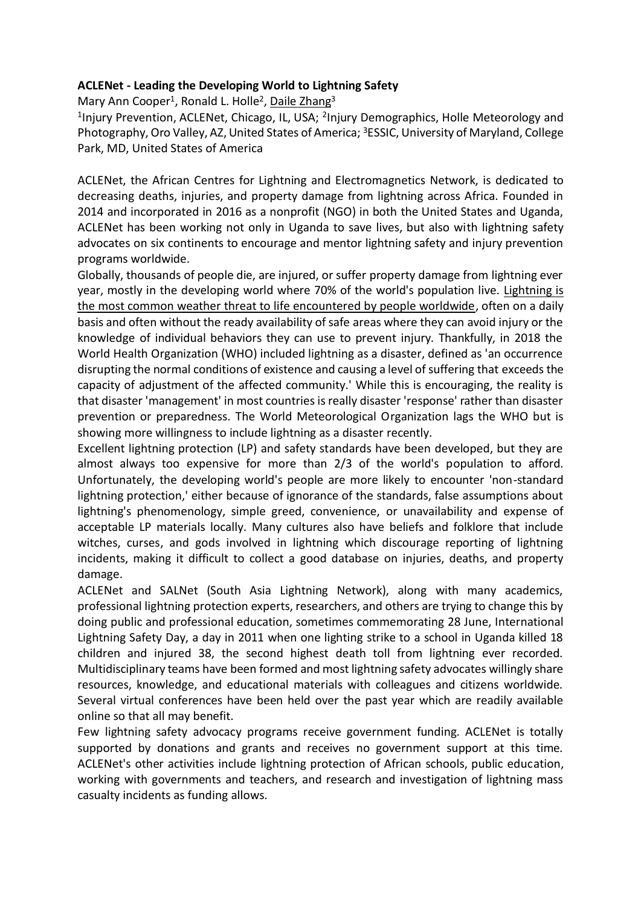## **ACLENet - Leading the Developing World to Lightning Safety**

Mary Ann Cooper<sup>1</sup>, Ronald L. Holle<sup>2</sup>, Daile Zhang<sup>3</sup>

<sup>1</sup>Injury Prevention, ACLENet, Chicago, IL, USA; <sup>2</sup>Injury Demographics, Holle Meteorology and Photography, Oro Valley, AZ, United States of America; <sup>3</sup>ESSIC, University of Maryland, College Park, MD, United States of America

ACLENet, the African Centres for Lightning and Electromagnetics Network, is dedicated to decreasing deaths, injuries, and property damage from lightning across Africa. Founded in 2014 and incorporated in 2016 as a nonprofit (NGO) in both the United States and Uganda, ACLENet has been working not only in Uganda to save lives, but also with lightning safety advocates on six continents to encourage and mentor lightning safety and injury prevention programs worldwide.

Globally, thousands of people die, are injured, or suffer property damage from lightning ever year, mostly in the developing world where 70% of the world's population live. Lightning is the most common weather threat to life encountered by people worldwide, often on a daily basis and often without the ready availability of safe areas where they can avoid injury or the knowledge of individual behaviors they can use to prevent injury. Thankfully, in 2018 the World Health Organization (WHO) included lightning as a disaster, defined as 'an occurrence disrupting the normal conditions of existence and causing a level of suffering that exceeds the capacity of adjustment of the affected community.' While this is encouraging, the reality is that disaster 'management' in most countries is really disaster 'response' rather than disaster prevention or preparedness. The World Meteorological Organization lags the WHO but is showing more willingness to include lightning as a disaster recently.

Excellent lightning protection (LP) and safety standards have been developed, but they are almost always too expensive for more than 2/3 of the world's population to afford. Unfortunately, the developing world's people are more likely to encounter 'non-standard lightning protection,' either because of ignorance of the standards, false assumptions about lightning's phenomenology, simple greed, convenience, or unavailability and expense of acceptable LP materials locally. Many cultures also have beliefs and folklore that include witches, curses, and gods involved in lightning which discourage reporting of lightning incidents, making it difficult to collect a good database on injuries, deaths, and property damage.

ACLENet and SALNet (South Asia Lightning Network), along with many academics, professional lightning protection experts, researchers, and others are trying to change this by doing public and professional education, sometimes commemorating 28 June, International Lightning Safety Day, a day in 2011 when one lighting strike to a school in Uganda killed 18 children and injured 38, the second highest death toll from lightning ever recorded. Multidisciplinary teams have been formed and most lightning safety advocates willingly share resources, knowledge, and educational materials with colleagues and citizens worldwide. Several virtual conferences have been held over the past year which are readily available online so that all may benefit.

Few lightning safety advocacy programs receive government funding. ACLENet is totally supported by donations and grants and receives no government support at this time. ACLENet's other activities include lightning protection of African schools, public education, working with governments and teachers, and research and investigation of lightning mass casualty incidents as funding allows.